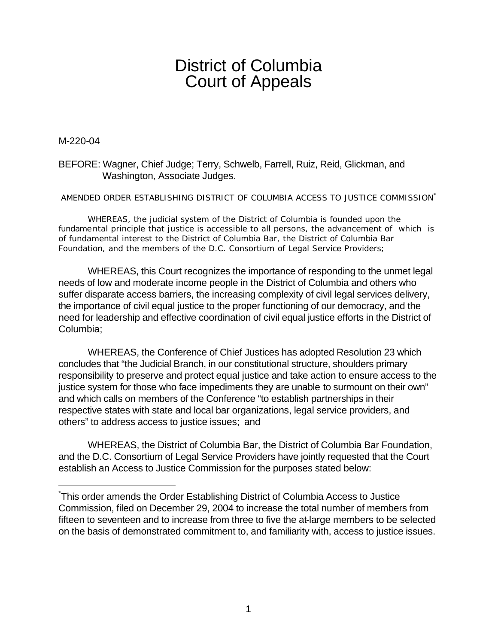# District of Columbia Court of Appeals

M-220-04

 $\overline{a}$ 

## BEFORE: Wagner, Chief Judge; Terry, Schwelb, Farrell, Ruiz, Reid, Glickman, and Washington, Associate Judges.

#### AMENDED ORDER ESTABLISHING DISTRICT OF COLUMBIA ACCESS TO JUSTICE COMMISSION\*

WHEREAS, the judicial system of the District of Columbia is founded upon the fundamental principle that justice is accessible to all persons, the advancement of which is of fundamental interest to the District of Columbia Bar, the District of Columbia Bar Foundation, and the members of the D.C. Consortium of Legal Service Providers;

WHEREAS, this Court recognizes the importance of responding to the unmet legal needs of low and moderate income people in the District of Columbia and others who suffer disparate access barriers, the increasing complexity of civil legal services delivery, the importance of civil equal justice to the proper functioning of our democracy, and the need for leadership and effective coordination of civil equal justice efforts in the District of Columbia;

WHEREAS, the Conference of Chief Justices has adopted Resolution 23 which concludes that "the Judicial Branch, in our constitutional structure, shoulders primary responsibility to preserve and protect equal justice and take action to ensure access to the justice system for those who face impediments they are unable to surmount on their own" and which calls on members of the Conference "to establish partnerships in their respective states with state and local bar organizations, legal service providers, and others" to address access to justice issues; and

WHEREAS, the District of Columbia Bar, the District of Columbia Bar Foundation, and the D.C. Consortium of Legal Service Providers have jointly requested that the Court establish an Access to Justice Commission for the purposes stated below:

<sup>\*</sup> This order amends the Order Establishing District of Columbia Access to Justice Commission, filed on December 29, 2004 to increase the total number of members from fifteen to seventeen and to increase from three to five the at-large members to be selected on the basis of demonstrated commitment to, and familiarity with, access to justice issues.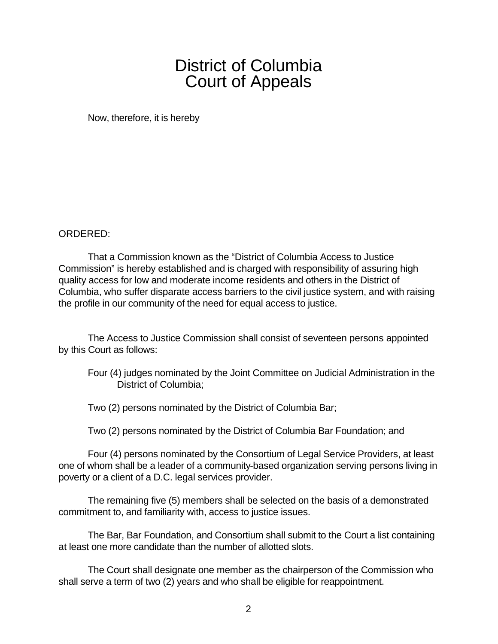# District of Columbia Court of Appeals

Now, therefore, it is hereby

## ORDERED:

That a Commission known as the "District of Columbia Access to Justice Commission" is hereby established and is charged with responsibility of assuring high quality access for low and moderate income residents and others in the District of Columbia, who suffer disparate access barriers to the civil justice system, and with raising the profile in our community of the need for equal access to justice.

The Access to Justice Commission shall consist of seventeen persons appointed by this Court as follows:

Four (4) judges nominated by the Joint Committee on Judicial Administration in the District of Columbia;

Two (2) persons nominated by the District of Columbia Bar;

Two (2) persons nominated by the District of Columbia Bar Foundation; and

Four (4) persons nominated by the Consortium of Legal Service Providers, at least one of whom shall be a leader of a community-based organization serving persons living in poverty or a client of a D.C. legal services provider.

The remaining five (5) members shall be selected on the basis of a demonstrated commitment to, and familiarity with, access to justice issues.

The Bar, Bar Foundation, and Consortium shall submit to the Court a list containing at least one more candidate than the number of allotted slots.

The Court shall designate one member as the chairperson of the Commission who shall serve a term of two (2) years and who shall be eligible for reappointment.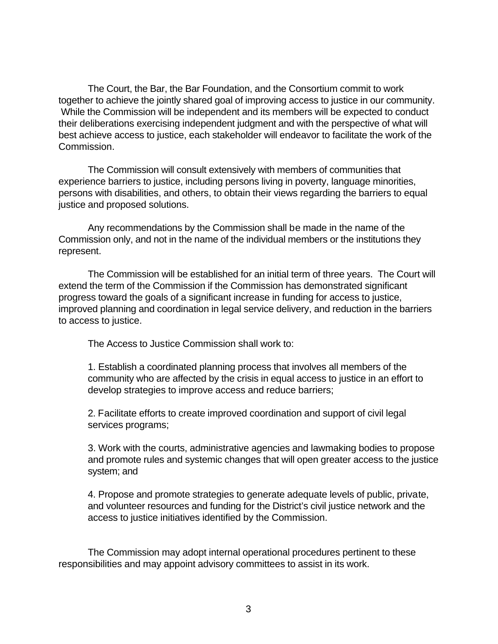The Court, the Bar, the Bar Foundation, and the Consortium commit to work together to achieve the jointly shared goal of improving access to justice in our community. While the Commission will be independent and its members will be expected to conduct their deliberations exercising independent judgment and with the perspective of what will best achieve access to justice, each stakeholder will endeavor to facilitate the work of the Commission.

The Commission will consult extensively with members of communities that experience barriers to justice, including persons living in poverty, language minorities, persons with disabilities, and others, to obtain their views regarding the barriers to equal justice and proposed solutions.

Any recommendations by the Commission shall be made in the name of the Commission only, and not in the name of the individual members or the institutions they represent.

The Commission will be established for an initial term of three years. The Court will extend the term of the Commission if the Commission has demonstrated significant progress toward the goals of a significant increase in funding for access to justice, improved planning and coordination in legal service delivery, and reduction in the barriers to access to justice.

The Access to Justice Commission shall work to:

1. Establish a coordinated planning process that involves all members of the community who are affected by the crisis in equal access to justice in an effort to develop strategies to improve access and reduce barriers;

2. Facilitate efforts to create improved coordination and support of civil legal services programs;

3. Work with the courts, administrative agencies and lawmaking bodies to propose and promote rules and systemic changes that will open greater access to the justice system; and

4. Propose and promote strategies to generate adequate levels of public, private, and volunteer resources and funding for the District's civil justice network and the access to justice initiatives identified by the Commission.

The Commission may adopt internal operational procedures pertinent to these responsibilities and may appoint advisory committees to assist in its work.